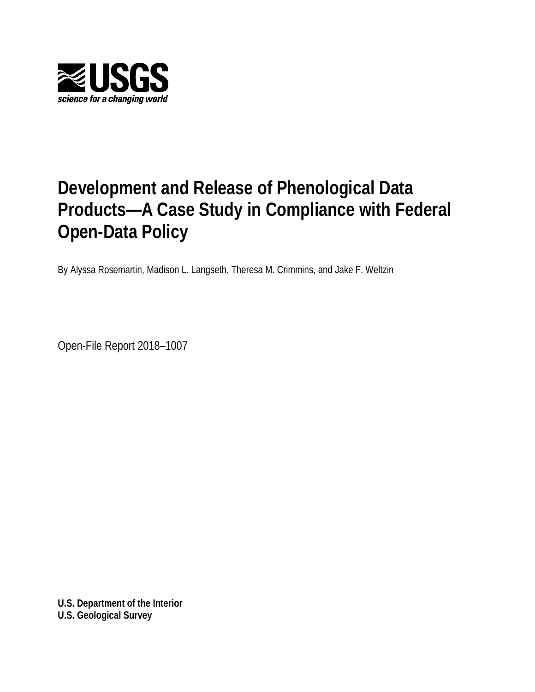

# **Development and Release of Phenological Data Products—A Case Study in Compliance with Federal Open-Data Policy**

By Alyssa Rosemartin, Madison L. Langseth, Theresa M. Crimmins, and Jake F. Weltzin

Open-File Report 2018–1007

**U.S. Department of the Interior U.S. Geological Survey**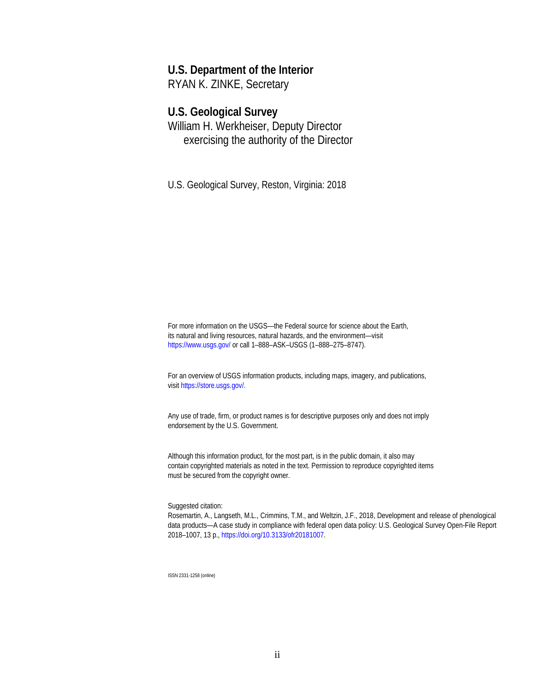### **U.S. Department of the Interior**

RYAN K. ZINKE, Secretary

#### **U.S. Geological Survey**

William H. Werkheiser, Deputy Director exercising the authority of the Director

U.S. Geological Survey, Reston, Virginia: 2018

For more information on the USGS—the Federal source for science about the Earth, its natural and living resources, natural hazards, and the environment—visit <https://www.usgs.gov/> or call 1–888–ASK–USGS (1–888–275–8747).

For an overview of USGS information products, including maps, imagery, and publications, visi[t https://store.usgs.gov/](https://store.usgs.gov/).

Any use of trade, firm, or product names is for descriptive purposes only and does not imply endorsement by the U.S. Government.

Although this information product, for the most part, is in the public domain, it also may contain copyrighted materials as noted in the text. Permission to reproduce copyrighted items must be secured from the copyright owner.

Suggested citation:

Rosemartin, A., Langseth, M.L., Crimmins, T.M., and Weltzin, J.F., 2018, Development and release of phenological data products—A case study in compliance with federal open data policy: U.S. Geological Survey Open-File Report 2018–1007, 13 p., https://doi.org/10.3133/ofr20181007.

ISSN 2331-1258 (online)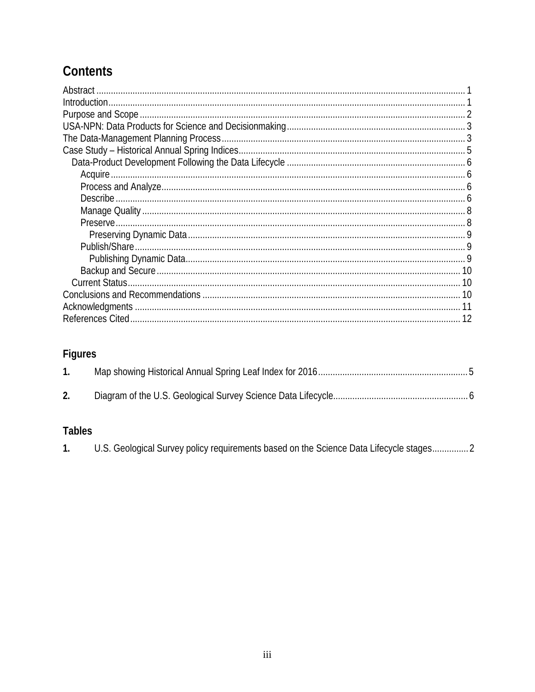## Contents

## Figures

## **Tables**

| U.S. Geological Survey policy requirements based on the Science Data Lifecycle stages 2 |  |
|-----------------------------------------------------------------------------------------|--|
|-----------------------------------------------------------------------------------------|--|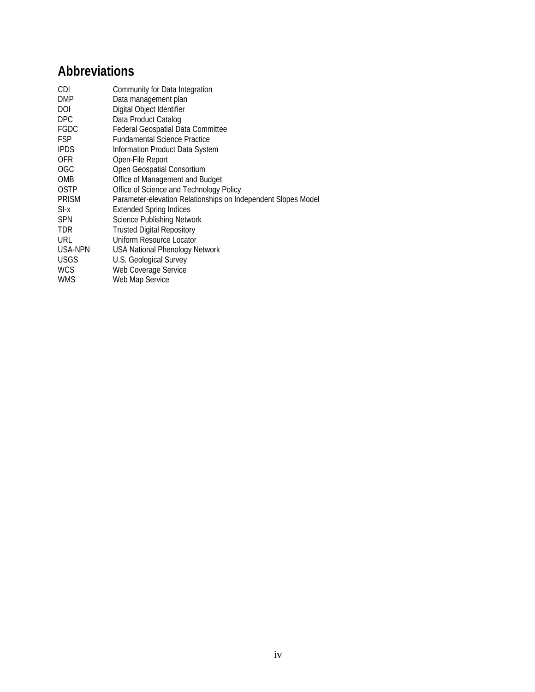## **Abbreviations**

| CDI          | Community for Data Integration                                |
|--------------|---------------------------------------------------------------|
| <b>DMP</b>   | Data management plan                                          |
| DOI          | Digital Object Identifier                                     |
| <b>DPC</b>   | Data Product Catalog                                          |
| <b>FGDC</b>  | <b>Federal Geospatial Data Committee</b>                      |
| <b>FSP</b>   | <b>Fundamental Science Practice</b>                           |
| <b>IPDS</b>  | Information Product Data System                               |
| 0FR          | Open-File Report                                              |
| <b>OGC</b>   | Open Geospatial Consortium                                    |
| <b>OMB</b>   | Office of Management and Budget                               |
| <b>OSTP</b>  | Office of Science and Technology Policy                       |
| <b>PRISM</b> | Parameter-elevation Relationships on Independent Slopes Model |
| $SI-x$       | <b>Extended Spring Indices</b>                                |
| <b>SPN</b>   | <b>Science Publishing Network</b>                             |
| <b>TDR</b>   | <b>Trusted Digital Repository</b>                             |
| URL          | Uniform Resource Locator                                      |
| USA-NPN      | USA National Phenology Network                                |
| <b>USGS</b>  | U.S. Geological Survey                                        |
| <b>WCS</b>   | Web Coverage Service                                          |
| WMS          | Web Map Service                                               |
|              |                                                               |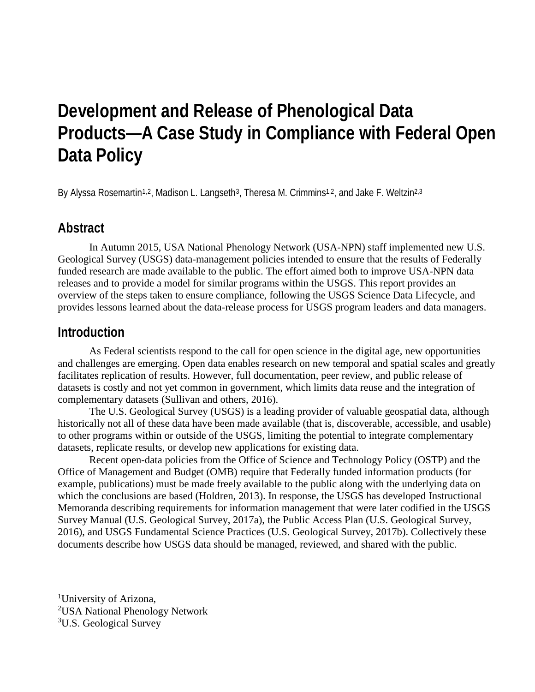# **Development and Release of Phenological Data Products—A Case Study in Compliance with Federal Open Data Policy**

By Alyssa Rosemartin<sup>[1,](#page-4-0)2</sup>, Madison L. Langseth<sup>3</sup>, Theresa M. Crimmins<sup>1,2</sup>, and Jake F. Weltzin<sup>[2,](#page-4-1)3</sup>

## **Abstract**

In Autumn 2015, USA National Phenology Network (USA-NPN) staff implemented new U.S. Geological Survey (USGS) data-management policies intended to ensure that the results of Federally funded research are made available to the public. The effort aimed both to improve USA-NPN data releases and to provide a model for similar programs within the USGS. This report provides an overview of the steps taken to ensure compliance, following the USGS Science Data Lifecycle, and provides lessons learned about the data-release process for USGS program leaders and data managers.

### **Introduction**

As Federal scientists respond to the call for open science in the digital age, new opportunities and challenges are emerging. Open data enables research on new temporal and spatial scales and greatly facilitates replication of results. However, full documentation, peer review, and public release of datasets is costly and not yet common in government, which limits data reuse and the integration of complementary datasets (Sullivan and others, 2016).

The U.S. Geological Survey (USGS) is a leading provider of valuable geospatial data, although historically not all of these data have been made available (that is, discoverable, accessible, and usable) to other programs within or outside of the USGS, limiting the potential to integrate complementary datasets, replicate results, or develop new applications for existing data.

Recent open-data policies from the Office of Science and Technology Policy (OSTP) and the Office of Management and Budget (OMB) require that Federally funded information products (for example, publications) must be made freely available to the public along with the underlying data on which the conclusions are based (Holdren, 2013). In response, the USGS has developed Instructional Memoranda describing requirements for information management that were later codified in the USGS Survey Manual (U.S. Geological Survey, 2017a), the Public Access Plan (U.S. Geological Survey, 2016), and USGS Fundamental Science Practices (U.S. Geological Survey, 2017b). Collectively these documents describe how USGS data should be managed, reviewed, and shared with the public.

<span id="page-4-0"></span><sup>&</sup>lt;sup>1</sup>University of Arizona,

<span id="page-4-1"></span><sup>&</sup>lt;sup>2</sup>USA National Phenology Network

<span id="page-4-2"></span><sup>&</sup>lt;sup>3</sup>U.S. Geological Survey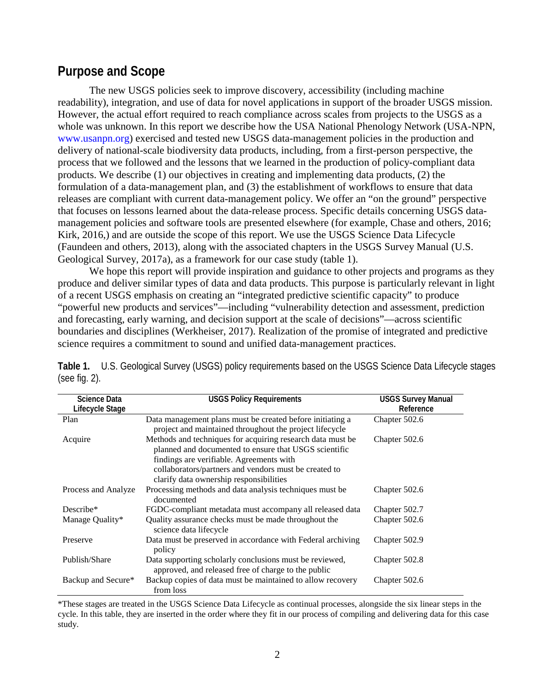## **Purpose and Scope**

The new USGS policies seek to improve discovery, accessibility (including machine readability), integration, and use of data for novel applications in support of the broader USGS mission. However, the actual effort required to reach compliance across scales from projects to the USGS as a whole was unknown. In this report we describe how the USA National Phenology Network (USA-NPN, www.usanpn.org) exercised and tested new USGS data-management policies in the production and delivery of national-scale biodiversity data products, including, from a first-person perspective, the process that we followed and the lessons that we learned in the production of policy-compliant data products. We describe (1) our objectives in creating and implementing data products, (2) the formulation of a data-management plan, and (3) the establishment of workflows to ensure that data releases are compliant with current data-management policy. We offer an "on the ground" perspective that focuses on lessons learned about the data-release process. Specific details concerning USGS datamanagement policies and software tools are presented elsewhere (for example, Chase and others, 2016; Kirk, 2016,) and are outside the scope of this report. We use the USGS Science Data Lifecycle (Faundeen and others, 2013), along with the associated chapters in the USGS Survey Manual (U.S. Geological Survey, 2017a), as a framework for our case study (table 1).

We hope this report will provide inspiration and guidance to other projects and programs as they produce and deliver similar types of data and data products. This purpose is particularly relevant in light of a recent USGS emphasis on creating an "integrated predictive scientific capacity" to produce "powerful new products and services"—including "vulnerability detection and assessment, prediction and forecasting, early warning, and decision support at the scale of decisions"—across scientific boundaries and disciplines (Werkheiser, 2017). Realization of the promise of integrated and predictive science requires a commitment to sound and unified data-management practices.

| <b>Science Data</b><br>Lifecycle Stage | <b>USGS Policy Requirements</b>                                                | <b>USGS Survey Manual</b><br>Reference |
|----------------------------------------|--------------------------------------------------------------------------------|----------------------------------------|
| Plan                                   | Data management plans must be created before initiating a                      | Chapter 502.6                          |
|                                        | project and maintained throughout the project lifecycle                        |                                        |
| Acquire                                | Methods and techniques for acquiring research data must be                     | Chapter 502.6                          |
|                                        | planned and documented to ensure that USGS scientific                          |                                        |
|                                        | findings are verifiable. Agreements with                                       |                                        |
|                                        | collaborators/partners and vendors must be created to                          |                                        |
|                                        | clarify data ownership responsibilities                                        |                                        |
| Process and Analyze                    | Processing methods and data analysis techniques must be<br>documented          | Chapter 502.6                          |
| Describe*                              | FGDC-compliant metadata must accompany all released data                       | Chapter 502.7                          |
| Manage Quality*                        | Quality assurance checks must be made throughout the<br>science data lifecycle | Chapter 502.6                          |
| Preserve                               | Data must be preserved in accordance with Federal archiving<br>policy          | Chapter 502.9                          |
| Publish/Share                          | Data supporting scholarly conclusions must be reviewed,                        | Chapter 502.8                          |
|                                        | approved, and released free of charge to the public                            |                                        |
| Backup and Secure*                     | Backup copies of data must be maintained to allow recovery                     | Chapter 502.6                          |
|                                        | from loss                                                                      |                                        |

**Table 1.** U.S. Geological Survey (USGS) policy requirements based on the USGS Science Data Lifecycle stages (see fig. 2).

\*These stages are treated in the USGS Science Data Lifecycle as continual processes, alongside the six linear steps in the cycle. In this table, they are inserted in the order where they fit in our process of compiling and delivering data for this case study.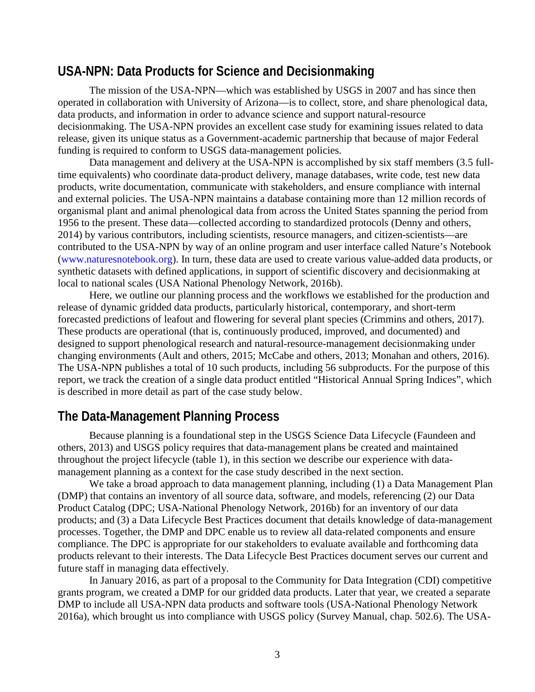## **USA-NPN: Data Products for Science and Decisionmaking**

The mission of the USA-NPN—which was established by USGS in 2007 and has since then operated in collaboration with University of Arizona—is to collect, store, and share phenological data, data products, and information in order to advance science and support natural-resource decisionmaking. The USA-NPN provides an excellent case study for examining issues related to data release, given its unique status as a Government-academic partnership that because of major Federal funding is required to conform to USGS data-management policies.

Data management and delivery at the USA-NPN is accomplished by six staff members (3.5 fulltime equivalents) who coordinate data-product delivery, manage databases, write code, test new data products, write documentation, communicate with stakeholders, and ensure compliance with internal and external policies. The USA-NPN maintains a database containing more than 12 million records of organismal plant and animal phenological data from across the United States spanning the period from 1956 to the present. These data—collected according to standardized protocols (Denny and others, 2014) by various contributors, including scientists, resource managers, and citizen-scientists—are contributed to the USA-NPN by way of an online program and user interface called Nature's Notebook (www.naturesnotebook.org). In turn, these data are used to create various value-added data products, or synthetic datasets with defined applications, in support of scientific discovery and decisionmaking at local to national scales (USA National Phenology Network, 2016b).

Here, we outline our planning process and the workflows we established for the production and release of dynamic gridded data products, particularly historical, contemporary, and short-term forecasted predictions of leafout and flowering for several plant species (Crimmins and others, 2017). These products are operational (that is, continuously produced, improved, and documented) and designed to support phenological research and natural-resource-management decisionmaking under changing environments (Ault and others, 2015; McCabe and others, 2013; Monahan and others, 2016). The USA-NPN publishes a total of 10 such products, including 56 subproducts. For the purpose of this report, we track the creation of a single data product entitled "Historical Annual Spring Indices", which is described in more detail as part of the case study below.

## **The Data-Management Planning Process**

Because planning is a foundational step in the USGS Science Data Lifecycle (Faundeen and others, 2013) and USGS policy requires that data-management plans be created and maintained throughout the project lifecycle (table 1), in this section we describe our experience with datamanagement planning as a context for the case study described in the next section.

We take a broad approach to data management planning, including (1) a Data Management Plan (DMP) that contains an inventory of all source data, software, and models, referencing (2) our Data Product Catalog (DPC; USA-National Phenology Network, 2016b) for an inventory of our data products; and (3) a Data Lifecycle Best Practices document that details knowledge of data-management processes. Together, the DMP and DPC enable us to review all data-related components and ensure compliance. The DPC is appropriate for our stakeholders to evaluate available and forthcoming data products relevant to their interests. The Data Lifecycle Best Practices document serves our current and future staff in managing data effectively.

In January 2016, as part of a proposal to the Community for Data Integration (CDI) competitive grants program, we created a DMP for our gridded data products. Later that year, we created a separate DMP to include all USA-NPN data products and software tools (USA-National Phenology Network 2016a), which brought us into compliance with USGS policy (Survey Manual, chap. 502.6). The USA-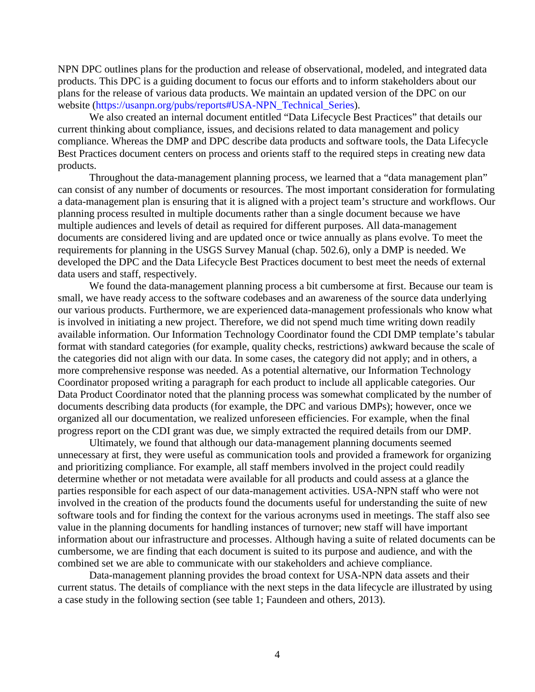NPN DPC outlines plans for the production and release of observational, modeled, and integrated data products. This DPC is a guiding document to focus our efforts and to inform stakeholders about our plans for the release of various data products. We maintain an updated version of the DPC on our website (https://usanpn.org/pubs/reports#USA-NPN\_Technical\_Series).

We also created an internal document entitled "Data Lifecycle Best Practices" that details our current thinking about compliance, issues, and decisions related to data management and policy compliance. Whereas the DMP and DPC describe data products and software tools, the Data Lifecycle Best Practices document centers on process and orients staff to the required steps in creating new data products.

Throughout the data-management planning process, we learned that a "data management plan" can consist of any number of documents or resources. The most important consideration for formulating a data-management plan is ensuring that it is aligned with a project team's structure and workflows. Our planning process resulted in multiple documents rather than a single document because we have multiple audiences and levels of detail as required for different purposes. All data-management documents are considered living and are updated once or twice annually as plans evolve. To meet the requirements for planning in the USGS Survey Manual (chap. 502.6), only a DMP is needed. We developed the DPC and the Data Lifecycle Best Practices document to best meet the needs of external data users and staff, respectively.

We found the data-management planning process a bit cumbersome at first. Because our team is small, we have ready access to the software codebases and an awareness of the source data underlying our various products. Furthermore, we are experienced data-management professionals who know what is involved in initiating a new project. Therefore, we did not spend much time writing down readily available information. Our Information Technology Coordinator found the CDI DMP template's tabular format with standard categories (for example, quality checks, restrictions) awkward because the scale of the categories did not align with our data. In some cases, the category did not apply; and in others, a more comprehensive response was needed. As a potential alternative, our Information Technology Coordinator proposed writing a paragraph for each product to include all applicable categories. Our Data Product Coordinator noted that the planning process was somewhat complicated by the number of documents describing data products (for example, the DPC and various DMPs); however, once we organized all our documentation, we realized unforeseen efficiencies. For example, when the final progress report on the CDI grant was due, we simply extracted the required details from our DMP.

Ultimately, we found that although our data-management planning documents seemed unnecessary at first, they were useful as communication tools and provided a framework for organizing and prioritizing compliance. For example, all staff members involved in the project could readily determine whether or not metadata were available for all products and could assess at a glance the parties responsible for each aspect of our data-management activities. USA-NPN staff who were not involved in the creation of the products found the documents useful for understanding the suite of new software tools and for finding the context for the various acronyms used in meetings. The staff also see value in the planning documents for handling instances of turnover; new staff will have important information about our infrastructure and processes. Although having a suite of related documents can be cumbersome, we are finding that each document is suited to its purpose and audience, and with the combined set we are able to communicate with our stakeholders and achieve compliance.

Data-management planning provides the broad context for USA-NPN data assets and their current status. The details of compliance with the next steps in the data lifecycle are illustrated by using a case study in the following section (see table 1; Faundeen and others, 2013).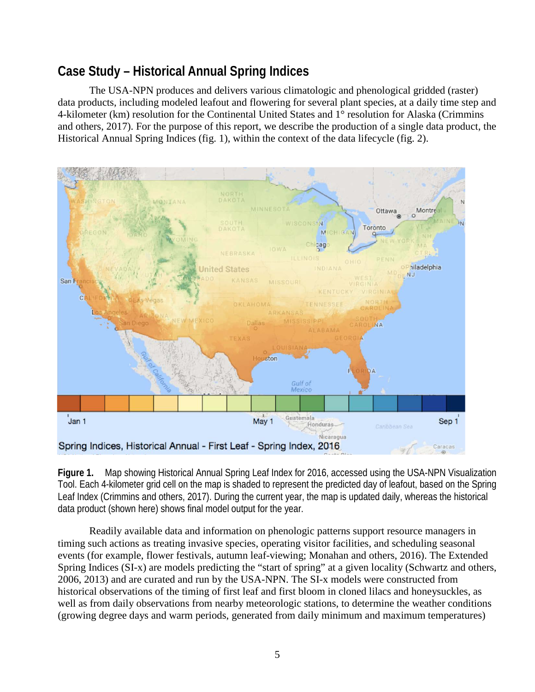## **Case Study – Historical Annual Spring Indices**

The USA-NPN produces and delivers various climatologic and phenological gridded (raster) data products, including modeled leafout and flowering for several plant species, at a daily time step and 4-kilometer (km) resolution for the Continental United States and 1° resolution for Alaska (Crimmins and others, 2017). For the purpose of this report, we describe the production of a single data product, the Historical Annual Spring Indices (fig. 1), within the context of the data lifecycle (fig. 2).



**Figure 1.** Map showing Historical Annual Spring Leaf Index for 2016, accessed using the USA-NPN Visualization Tool. Each 4-kilometer grid cell on the map is shaded to represent the predicted day of leafout, based on the Spring Leaf Index (Crimmins and others, 2017). During the current year, the map is updated daily, whereas the historical data product (shown here) shows final model output for the year.

Readily available data and information on phenologic patterns support resource managers in timing such actions as treating invasive species, operating visitor facilities, and scheduling seasonal events (for example, flower festivals, autumn leaf-viewing; Monahan and others, 2016). The Extended Spring Indices (SI-x) are models predicting the "start of spring" at a given locality (Schwartz and others, 2006, 2013) and are curated and run by the USA-NPN. The SI-x models were constructed from historical observations of the timing of first leaf and first bloom in cloned lilacs and honeysuckles, as well as from daily observations from nearby meteorologic stations, to determine the weather conditions (growing degree days and warm periods, generated from daily minimum and maximum temperatures)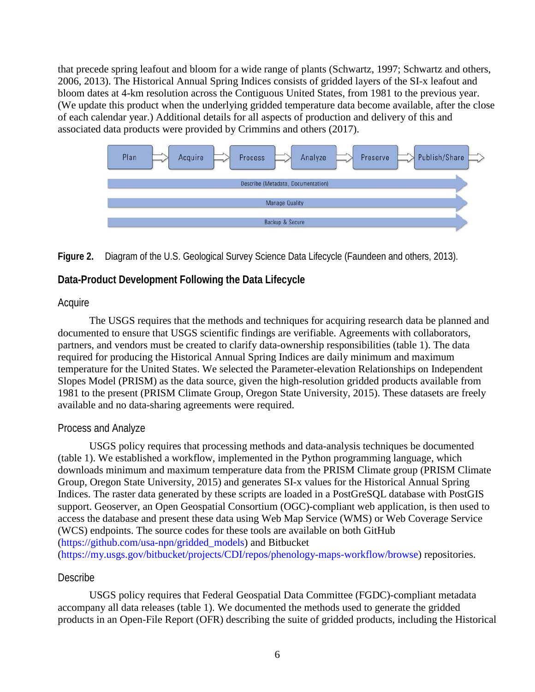that precede spring leafout and bloom for a wide range of plants (Schwartz, 1997; Schwartz and others, 2006, 2013). The Historical Annual Spring Indices consists of gridded layers of the SI-x leafout and bloom dates at 4-km resolution across the Contiguous United States, from 1981 to the previous year. (We update this product when the underlying gridded temperature data become available, after the close of each calendar year.) Additional details for all aspects of production and delivery of this and associated data products were provided by Crimmins and others (2017).



#### **Figure 2.** Diagram of the U.S. Geological Survey Science Data Lifecycle (Faundeen and others, 2013).

#### **Data-Product Development Following the Data Lifecycle**

#### Acquire

The USGS requires that the methods and techniques for acquiring research data be planned and documented to ensure that USGS scientific findings are verifiable. Agreements with collaborators, partners, and vendors must be created to clarify data-ownership responsibilities (table 1). The data required for producing the Historical Annual Spring Indices are daily minimum and maximum temperature for the United States. We selected the Parameter-elevation Relationships on Independent Slopes Model (PRISM) as the data source, given the high-resolution gridded products available from 1981 to the present (PRISM Climate Group, Oregon State University, 2015). These datasets are freely available and no data-sharing agreements were required.

#### Process and Analyze

USGS policy requires that processing methods and data-analysis techniques be documented (table 1). We established a workflow, implemented in the Python programming language, which downloads minimum and maximum temperature data from the PRISM Climate group (PRISM Climate Group, Oregon State University, 2015) and generates SI-x values for the Historical Annual Spring Indices. The raster data generated by these scripts are loaded in a PostGreSQL database with PostGIS support. Geoserver, an Open Geospatial Consortium (OGC)-compliant web application, is then used to access the database and present these data using Web Map Service (WMS) or Web Coverage Service (WCS) endpoints. The source codes for these tools are available on both GitHub (https://github.com/usa-npn/gridded\_models) and Bitbucket

[\(https://my.usgs.gov/bitbucket/projects/CDI/repos/phenology-maps-workflow/browse\)](https://my.usgs.gov/bitbucket/projects/CDI/repos/phenology-maps-workflow/browse) repositories.

#### Describe

USGS policy requires that Federal Geospatial Data Committee (FGDC)-compliant metadata accompany all data releases (table 1). We documented the methods used to generate the gridded products in an Open-File Report (OFR) describing the suite of gridded products, including the Historical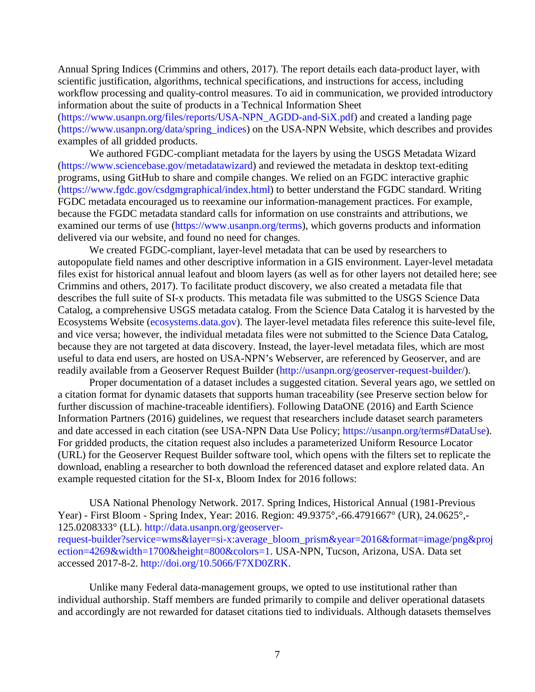Annual Spring Indices (Crimmins and others, 2017). The report details each data-product layer, with scientific justification, algorithms, technical specifications, and instructions for access, including workflow processing and quality-control measures. To aid in communication, we provided introductory information about the suite of products in a Technical Information Sheet (https://www.usanpn.org/files/reports/USA-NPN\_AGDD-and-SiX.pdf) and created a landing page (https://www.usanpn.org/data/spring\_indices) on the USA-NPN Website, which describes and provides examples of all gridded products.

We authored FGDC-compliant metadata for the layers by using the USGS Metadata Wizard (https://www.sciencebase.gov/metadatawizard) and reviewed the metadata in desktop text-editing programs, using GitHub to share and compile changes. We relied on an FGDC interactive graphic [\(https://www.fgdc.gov/csdgmgraphical/index.html\)](https://www.fgdc.gov/csdgmgraphical/index.html) to better understand the FGDC standard. Writing FGDC metadata encouraged us to reexamine our information-management practices. For example, because the FGDC metadata standard calls for information on use constraints and attributions, we examined our terms of use (https://www.usanpn.org/terms), which governs products and information delivered via our website, and found no need for changes.

We created FGDC-compliant, layer-level metadata that can be used by researchers to autopopulate field names and other descriptive information in a GIS environment. Layer-level metadata files exist for historical annual leafout and bloom layers (as well as for other layers not detailed here; see Crimmins and others, 2017). To facilitate product discovery, we also created a metadata file that describes the full suite of SI-x products. This metadata file was submitted to the USGS Science Data Catalog, a comprehensive USGS metadata catalog. From the Science Data Catalog it is harvested by the Ecosystems Website (ecosystems.data.gov). The layer-level metadata files reference this suite-level file, and vice versa; however, the individual metadata files were not submitted to the Science Data Catalog, because they are not targeted at data discovery. Instead, the layer-level metadata files, which are most useful to data end users, are hosted on USA-NPN's Webserver, are referenced by Geoserver, and are readily available from a Geoserver Request Builder (http://usanpn.org/geoserver-request-builder/).

Proper documentation of a dataset includes a suggested citation. Several years ago, we settled on a citation format for dynamic datasets that supports human traceability (see Preserve section below for further discussion of machine-traceable identifiers). Following DataONE (2016) and Earth Science Information Partners (2016) guidelines, we request that researchers include dataset search parameters and date accessed in each citation (see USA-NPN Data Use Policy; https://usanpn.org/terms#DataUse). For gridded products, the citation request also includes a parameterized Uniform Resource Locator (URL) for the Geoserver Request Builder software tool, which opens with the filters set to replicate the download, enabling a researcher to both download the referenced dataset and explore related data. An example requested citation for the SI-x, Bloom Index for 2016 follows:

USA National Phenology Network. 2017. Spring Indices, Historical Annual (1981-Previous Year) - First Bloom - Spring Index, Year: 2016. Region: 49.9375°,-66.4791667° (UR), 24.0625°,- 125.0208333° (LL). http://data.usanpn.org/geoserverrequest-builder?service=wms&layer=si-x:average\_bloom\_prism&year=2016&format=image/png&proj ection=4269&width=1700&height=800&colors=1. USA-NPN, Tucson, Arizona, USA. Data set accessed 2017-8-2. [http://doi.org/10.5066/F7XD0ZRK.](http://doi.org/10.5066/F7XD0ZRK)

Unlike many Federal data-management groups, we opted to use institutional rather than individual authorship. Staff members are funded primarily to compile and deliver operational datasets and accordingly are not rewarded for dataset citations tied to individuals. Although datasets themselves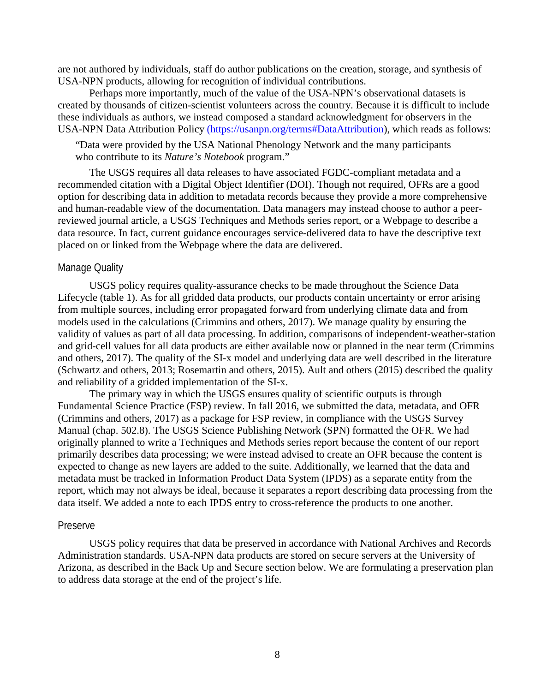are not authored by individuals, staff do author publications on the creation, storage, and synthesis of USA-NPN products, allowing for recognition of individual contributions.

Perhaps more importantly, much of the value of the USA-NPN's observational datasets is created by thousands of citizen-scientist volunteers across the country. Because it is difficult to include these individuals as authors, we instead composed a standard acknowledgment for observers in the USA-NPN Data Attribution Policy (https://usanpn.org/terms#DataAttribution), which reads as follows:

"Data were provided by the USA National Phenology Network and the many participants who contribute to its *Nature's Notebook* program."

The USGS requires all data releases to have associated FGDC-compliant metadata and a recommended citation with a Digital Object Identifier (DOI). Though not required, OFRs are a good option for describing data in addition to metadata records because they provide a more comprehensive and human-readable view of the documentation. Data managers may instead choose to author a peerreviewed journal article, a USGS Techniques and Methods series report, or a Webpage to describe a data resource. In fact, current guidance encourages service-delivered data to have the descriptive text placed on or linked from the Webpage where the data are delivered.

#### Manage Quality

USGS policy requires quality-assurance checks to be made throughout the Science Data Lifecycle (table 1). As for all gridded data products, our products contain uncertainty or error arising from multiple sources, including error propagated forward from underlying climate data and from models used in the calculations (Crimmins and others, 2017). We manage quality by ensuring the validity of values as part of all data processing. In addition, comparisons of independent-weather-station and grid-cell values for all data products are either available now or planned in the near term (Crimmins and others, 2017). The quality of the SI-x model and underlying data are well described in the literature (Schwartz and others, 2013; Rosemartin and others, 2015). Ault and others (2015) described the quality and reliability of a gridded implementation of the SI-x.

The primary way in which the USGS ensures quality of scientific outputs is through Fundamental Science Practice (FSP) review. In fall 2016, we submitted the data, metadata, and OFR (Crimmins and others, 2017) as a package for FSP review, in compliance with the USGS Survey Manual (chap. 502.8). The USGS Science Publishing Network (SPN) formatted the OFR. We had originally planned to write a Techniques and Methods series report because the content of our report primarily describes data processing; we were instead advised to create an OFR because the content is expected to change as new layers are added to the suite. Additionally, we learned that the data and metadata must be tracked in Information Product Data System (IPDS) as a separate entity from the report, which may not always be ideal, because it separates a report describing data processing from the data itself. We added a note to each IPDS entry to cross-reference the products to one another.

#### Preserve

USGS policy requires that data be preserved in accordance with National Archives and Records Administration standards. USA-NPN data products are stored on secure servers at the University of Arizona, as described in the Back Up and Secure section below. We are formulating a preservation plan to address data storage at the end of the project's life.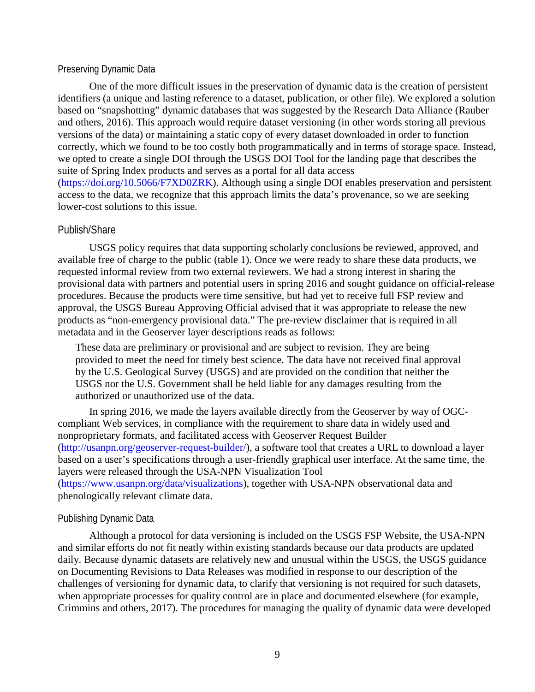#### Preserving Dynamic Data

One of the more difficult issues in the preservation of dynamic data is the creation of persistent identifiers (a unique and lasting reference to a dataset, publication, or other file). We explored a solution based on "snapshotting" dynamic databases that was suggested by the Research Data Alliance (Rauber and others, 2016). This approach would require dataset versioning (in other words storing all previous versions of the data) or maintaining a static copy of every dataset downloaded in order to function correctly, which we found to be too costly both programmatically and in terms of storage space. Instead, we opted to create a single DOI through the USGS DOI Tool for the landing page that describes the suite of Spring Index products and serves as a portal for all data access (https://doi.org/10.5066/F7XD0ZRK). Although using a single DOI enables preservation and persistent access to the data, we recognize that this approach limits the data's provenance, so we are seeking lower-cost solutions to this issue.

#### Publish/Share

USGS policy requires that data supporting scholarly conclusions be reviewed, approved, and available free of charge to the public (table 1). Once we were ready to share these data products, we requested informal review from two external reviewers. We had a strong interest in sharing the provisional data with partners and potential users in spring 2016 and sought guidance on official-release procedures. Because the products were time sensitive, but had yet to receive full FSP review and approval, the USGS Bureau Approving Official advised that it was appropriate to release the new products as "non-emergency provisional data." The pre-review disclaimer that is required in all metadata and in the Geoserver layer descriptions reads as follows:

These data are preliminary or provisional and are subject to revision. They are being provided to meet the need for timely best science. The data have not received final approval by the U.S. Geological Survey (USGS) and are provided on the condition that neither the USGS nor the U.S. Government shall be held liable for any damages resulting from the authorized or unauthorized use of the data.

In spring 2016, we made the layers available directly from the Geoserver by way of OGCcompliant Web services, in compliance with the requirement to share data in widely used and nonproprietary formats, and facilitated access with Geoserver Request Builder (http://usanpn.org/geoserver-request-builder/), a software tool that creates a URL to download a layer based on a user's specifications through a user-friendly graphical user interface. At the same time, the layers were released through the USA-NPN Visualization Tool (https://www.usanpn.org/data/visualizations), together with USA-NPN observational data and

phenologically relevant climate data.

#### Publishing Dynamic Data

Although a protocol for data versioning is included on the USGS FSP Website, the USA-NPN and similar efforts do not fit neatly within existing standards because our data products are updated daily. Because dynamic datasets are relatively new and unusual within the USGS, the USGS guidance on Documenting Revisions to Data Releases was modified in response to our description of the challenges of versioning for dynamic data, to clarify that versioning is not required for such datasets, when appropriate processes for quality control are in place and documented elsewhere (for example, Crimmins and others, 2017). The procedures for managing the quality of dynamic data were developed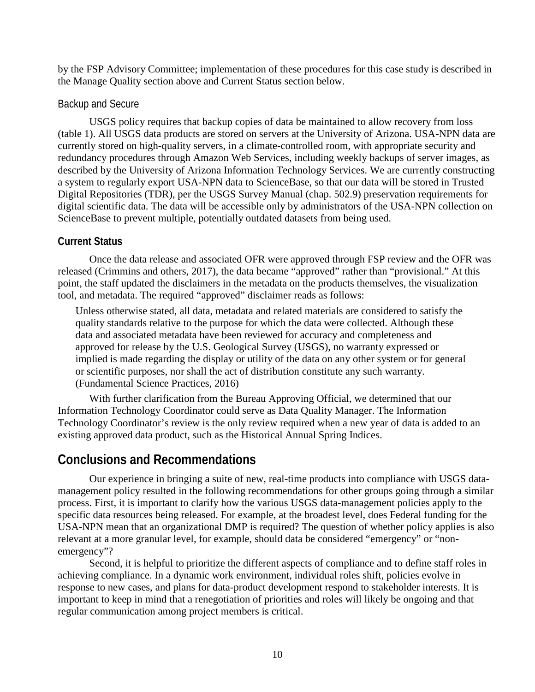by the FSP Advisory Committee; implementation of these procedures for this case study is described in the Manage Quality section above and Current Status section below.

#### Backup and Secure

USGS policy requires that backup copies of data be maintained to allow recovery from loss (table 1). All USGS data products are stored on servers at the University of Arizona. USA-NPN data are currently stored on high-quality servers, in a climate-controlled room, with appropriate security and redundancy procedures through Amazon Web Services, including weekly backups of server images, as described by the University of Arizona Information Technology Services. We are currently constructing a system to regularly export USA-NPN data to ScienceBase, so that our data will be stored in Trusted Digital Repositories (TDR), per the USGS Survey Manual (chap. 502.9) preservation requirements for digital scientific data. The data will be accessible only by administrators of the USA-NPN collection on ScienceBase to prevent multiple, potentially outdated datasets from being used.

#### **Current Status**

Once the data release and associated OFR were approved through FSP review and the OFR was released (Crimmins and others, 2017), the data became "approved" rather than "provisional." At this point, the staff updated the disclaimers in the metadata on the products themselves, the visualization tool, and metadata. The required "approved" disclaimer reads as follows:

Unless otherwise stated, all data, metadata and related materials are considered to satisfy the quality standards relative to the purpose for which the data were collected. Although these data and associated metadata have been reviewed for accuracy and completeness and approved for release by the U.S. Geological Survey (USGS), no warranty expressed or implied is made regarding the display or utility of the data on any other system or for general or scientific purposes, nor shall the act of distribution constitute any such warranty. (Fundamental Science Practices, 2016)

With further clarification from the Bureau Approving Official, we determined that our Information Technology Coordinator could serve as Data Quality Manager. The Information Technology Coordinator's review is the only review required when a new year of data is added to an existing approved data product, such as the Historical Annual Spring Indices.

## **Conclusions and Recommendations**

Our experience in bringing a suite of new, real-time products into compliance with USGS datamanagement policy resulted in the following recommendations for other groups going through a similar process. First, it is important to clarify how the various USGS data-management policies apply to the specific data resources being released. For example, at the broadest level, does Federal funding for the USA-NPN mean that an organizational DMP is required? The question of whether policy applies is also relevant at a more granular level, for example, should data be considered "emergency" or "nonemergency"?

Second, it is helpful to prioritize the different aspects of compliance and to define staff roles in achieving compliance. In a dynamic work environment, individual roles shift, policies evolve in response to new cases, and plans for data-product development respond to stakeholder interests. It is important to keep in mind that a renegotiation of priorities and roles will likely be ongoing and that regular communication among project members is critical.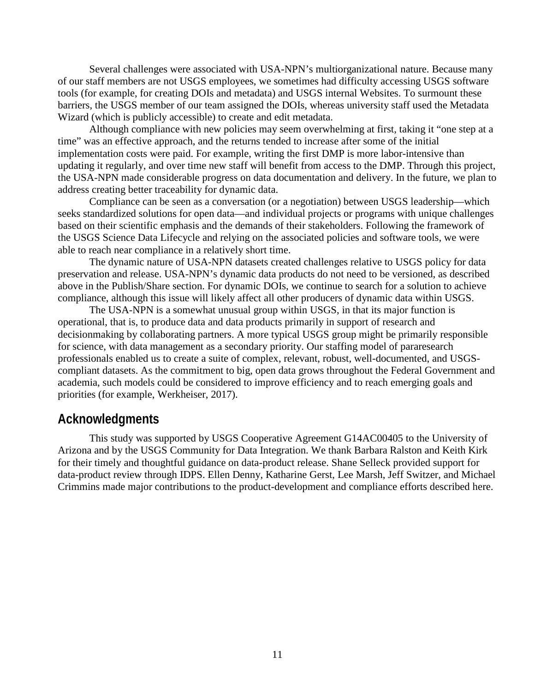Several challenges were associated with USA-NPN's multiorganizational nature. Because many of our staff members are not USGS employees, we sometimes had difficulty accessing USGS software tools (for example, for creating DOIs and metadata) and USGS internal Websites. To surmount these barriers, the USGS member of our team assigned the DOIs, whereas university staff used the Metadata Wizard (which is publicly accessible) to create and edit metadata.

Although compliance with new policies may seem overwhelming at first, taking it "one step at a time" was an effective approach, and the returns tended to increase after some of the initial implementation costs were paid. For example, writing the first DMP is more labor-intensive than updating it regularly, and over time new staff will benefit from access to the DMP. Through this project, the USA-NPN made considerable progress on data documentation and delivery. In the future, we plan to address creating better traceability for dynamic data.

Compliance can be seen as a conversation (or a negotiation) between USGS leadership—which seeks standardized solutions for open data—and individual projects or programs with unique challenges based on their scientific emphasis and the demands of their stakeholders. Following the framework of the USGS Science Data Lifecycle and relying on the associated policies and software tools, we were able to reach near compliance in a relatively short time.

The dynamic nature of USA-NPN datasets created challenges relative to USGS policy for data preservation and release. USA-NPN's dynamic data products do not need to be versioned, as described above in the Publish/Share section. For dynamic DOIs, we continue to search for a solution to achieve compliance, although this issue will likely affect all other producers of dynamic data within USGS.

The USA-NPN is a somewhat unusual group within USGS, in that its major function is operational, that is, to produce data and data products primarily in support of research and decisionmaking by collaborating partners. A more typical USGS group might be primarily responsible for science, with data management as a secondary priority. Our staffing model of pararesearch professionals enabled us to create a suite of complex, relevant, robust, well-documented, and USGScompliant datasets. As the commitment to big, open data grows throughout the Federal Government and academia, such models could be considered to improve efficiency and to reach emerging goals and priorities (for example, Werkheiser, 2017).

### **Acknowledgments**

This study was supported by USGS Cooperative Agreement G14AC00405 to the University of Arizona and by the USGS Community for Data Integration. We thank Barbara Ralston and Keith Kirk for their timely and thoughtful guidance on data-product release. Shane Selleck provided support for data-product review through IDPS. Ellen Denny, Katharine Gerst, Lee Marsh, Jeff Switzer, and Michael Crimmins made major contributions to the product-development and compliance efforts described here.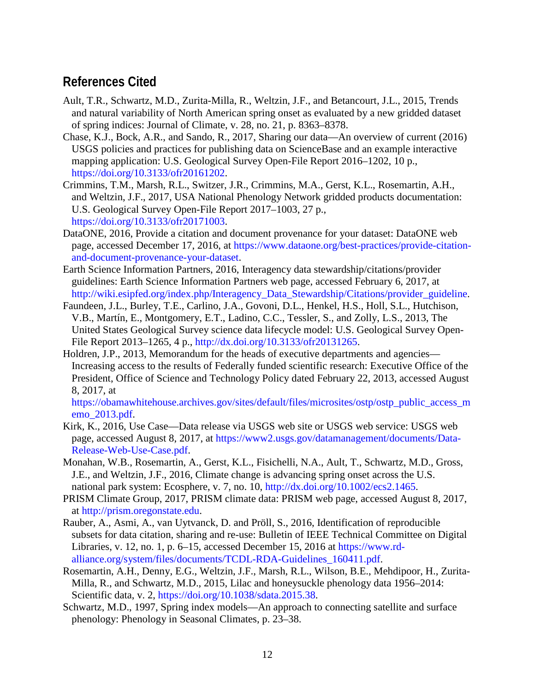## **References Cited**

- Ault, T.R., Schwartz, M.D., Zurita-Milla, R., Weltzin, J.F., and Betancourt, J.L., 2015, Trends and natural variability of North American spring onset as evaluated by a new gridded dataset of spring indices: Journal of Climate, v. 28, no. 21, p. 8363–8378.
- Chase, K.J., Bock, A.R., and Sando, R., 2017, Sharing our data—An overview of current (2016) USGS policies and practices for publishing data on ScienceBase and an example interactive mapping application: U.S. Geological Survey Open-File Report 2016–1202, 10 p., https://doi.org/10.3133/ofr20161202.
- Crimmins, T.M., Marsh, R.L., Switzer, J.R., Crimmins, M.A., Gerst, K.L., Rosemartin, A.H., and Weltzin, J.F., 2017, USA National Phenology Network gridded products documentation: U.S. Geological Survey Open-File Report 2017–1003, 27 p., https://doi.org/10.3133/ofr20171003.
- DataONE, 2016, Provide a citation and document provenance for your dataset: DataONE web page, accessed December 17, 2016, at https://www.dataone.org/best-practices/provide-citationand-document-provenance-your-dataset.
- Earth Science Information Partners, 2016, Interagency data stewardship/citations/provider guidelines: Earth Science Information Partners web page, accessed February 6, 2017, at http://wiki.esipfed.org/index.php/Interagency\_Data\_Stewardship/Citations/provider\_guideline.
- Faundeen, J.L., Burley, T.E., Carlino, J.A., Govoni, D.L., Henkel, H.S., Holl, S.L., Hutchison, V.B., Martín, E., Montgomery, E.T., Ladino, C.C., Tessler, S., and Zolly, L.S., 2013, The United States Geological Survey science data lifecycle model: U.S. Geological Survey Open-File Report 2013–1265, 4 p., http://dx.doi.org/10.3133/ofr20131265.
- Holdren, J.P., 2013, Memorandum for the heads of executive departments and agencies— Increasing access to the results of Federally funded scientific research: Executive Office of the President, Office of Science and Technology Policy dated February 22, 2013, accessed August 8, 2017, at

https://obamawhitehouse.archives.gov/sites/default/files/microsites/ostp/ostp\_public\_access\_m emo\_2013.pdf.

- Kirk, K., 2016, Use Case—Data release via USGS web site or USGS web service: USGS web page, accessed August 8, 2017, at https://www2.usgs.gov/datamanagement/documents/Data-Release-Web-Use-Case.pdf.
- Monahan, W.B., Rosemartin, A., Gerst, K.L., Fisichelli, N.A., Ault, T., Schwartz, M.D., Gross, J.E., and Weltzin, J.F., 2016, Climate change is advancing spring onset across the U.S. national park system: Ecosphere, v. 7, no. 10, http://dx.doi.org/10.1002/ecs2.1465.
- PRISM Climate Group, 2017, PRISM climate data: PRISM web page, accessed August 8, 2017, at http://prism.oregonstate.edu.
- Rauber, A., Asmi, A., van Uytvanck, D. and Pröll, S., 2016, Identification of reproducible subsets for data citation, sharing and re-use: Bulletin of IEEE Technical Committee on Digital Libraries, v. 12, no. 1, p. 6–15, accessed December 15, 2016 at https://www.rdalliance.org/system/files/documents/TCDL-RDA-Guidelines\_160411.pdf.
- Rosemartin, A.H., Denny, E.G., Weltzin, J.F., Marsh, R.L., Wilson, B.E., Mehdipoor, H., Zurita-Milla, R., and Schwartz, M.D., 2015, Lilac and honeysuckle phenology data 1956–2014: Scientific data, v. 2, https://doi.org/10.1038/sdata.2015.38.
- Schwartz, M.D., 1997, Spring index models—An approach to connecting satellite and surface phenology: Phenology in Seasonal Climates, p. 23–38.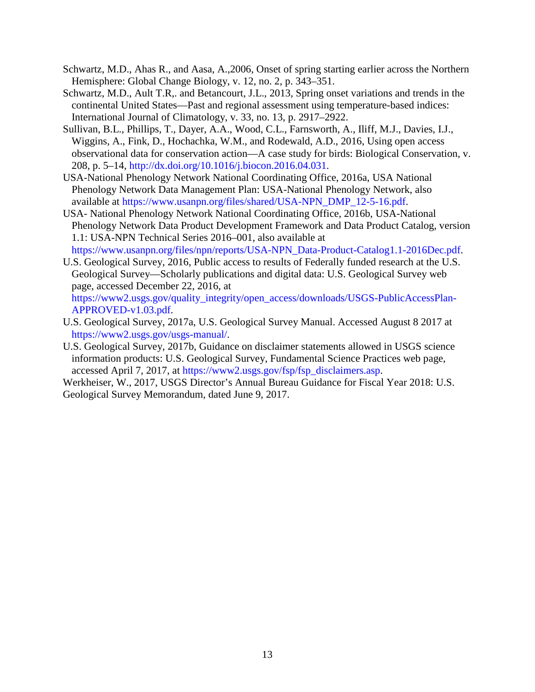- Schwartz, M.D., Ahas R., and Aasa, A.,2006, Onset of spring starting earlier across the Northern Hemisphere: Global Change Biology, v. 12, no. 2, p. 343–351.
- Schwartz, M.D., Ault T.R,. and Betancourt, J.L., 2013, Spring onset variations and trends in the continental United States—Past and regional assessment using temperature-based indices: International Journal of Climatology, v. 33, no. 13, p. 2917–2922.
- Sullivan, B.L., Phillips, T., Dayer, A.A., Wood, C.L., Farnsworth, A., Iliff, M.J., Davies, I.J., Wiggins, A., Fink, D., Hochachka, W.M., and Rodewald, A.D., 2016, Using open access observational data for conservation action—A case study for birds: Biological Conservation, v. 208, p. 5–14, http://dx.doi.org/10.1016/j.biocon.2016.04.031.
- USA-National Phenology Network National Coordinating Office, 2016a, USA National Phenology Network Data Management Plan: USA-National Phenology Network, also available at https://www.usanpn.org/files/shared/USA-NPN\_DMP\_12-5-16.pdf.
- USA- National Phenology Network National Coordinating Office, 2016b, USA-National Phenology Network Data Product Development Framework and Data Product Catalog, version 1.1: USA-NPN Technical Series 2016–001, also available at https://www.usanpn.org/files/npn/reports/USA-NPN\_Data-Product-Catalog1.1-2016Dec.pdf.
- U.S. Geological Survey, 2016, Public access to results of Federally funded research at the U.S. Geological Survey—Scholarly publications and digital data: U.S. Geological Survey web page, accessed December 22, 2016, at https://www2.usgs.gov/quality\_integrity/open\_access/downloads/USGS-PublicAccessPlan-APPROVED-v1.03.pdf.
- U.S. Geological Survey, 2017a, U.S. Geological Survey Manual. Accessed August 8 2017 at [https://www2.usgs.gov/usgs-manual/.](https://www2.usgs.gov/usgs-manual/)
- U.S. Geological Survey, 2017b, Guidance on disclaimer statements allowed in USGS science information products: U.S. Geological Survey, Fundamental Science Practices web page, accessed April 7, 2017, at https://www2.usgs.gov/fsp/fsp\_disclaimers.asp.
- Werkheiser, W., 2017, USGS Director's Annual Bureau Guidance for Fiscal Year 2018: U.S. Geological Survey Memorandum, dated June 9, 2017.